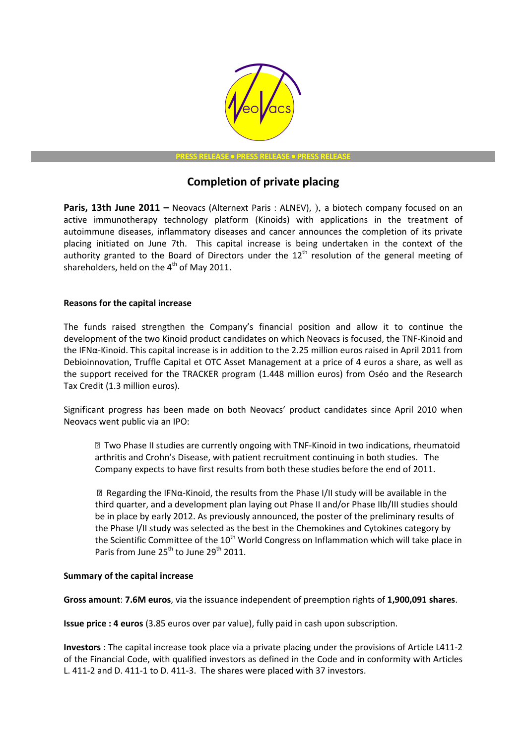

**PRESS RELEASE • PRESS RELEASE • PRESS RELEAS** 

# Completion of private placing

Paris, 13th June 2011 – Neovacs (Alternext Paris : ALNEV), ), a biotech company focused on an active immunotherapy technology platform (Kinoids) with applications in the treatment of autoimmune diseases, inflammatory diseases and cancer announces the completion of its private placing initiated on June 7th. This capital increase is being undertaken in the context of the authority granted to the Board of Directors under the  $12<sup>th</sup>$  resolution of the general meeting of shareholders, held on the  $4<sup>th</sup>$  of May 2011.

## Reasons for the capital increase

The funds raised strengthen the Company's financial position and allow it to continue the development of the two Kinoid product candidates on which Neovacs is focused, the TNF-Kinoid and the IFNα-Kinoid. This capital increase is in addition to the 2.25 million euros raised in April 2011 from Debioinnovation, Truffle Capital et OTC Asset Management at a price of 4 euros a share, as well as the support received for the TRACKER program (1.448 million euros) from Oséo and the Research Tax Credit (1.3 million euros).

Significant progress has been made on both Neovacs' product candidates since April 2010 when Neovacs went public via an IPO:

● Two Phase II studies are currently ongoing with TNF-Kinoid in two indications, rheumatoid arthritis and Crohn's Disease, with patient recruitment continuing in both studies. The Company expects to have first results from both these studies before the end of 2011.

 $\mathbb B$  Regarding the IFNα-Kinoid, the results from the Phase I/II study will be available in the third quarter, and a development plan laying out Phase II and/or Phase IIb/III studies should be in place by early 2012. As previously announced, the poster of the preliminary results of the Phase I/II study was selected as the best in the Chemokines and Cytokines category by the Scientific Committee of the  $10<sup>th</sup>$  World Congress on Inflammation which will take place in Paris from June 25<sup>th</sup> to June 29<sup>th</sup> 2011.

## Summary of the capital increase

Gross amount: 7.6M euros, via the issuance independent of preemption rights of 1,900,091 shares.

Issue price : 4 euros (3.85 euros over par value), fully paid in cash upon subscription.

Investors : The capital increase took place via a private placing under the provisions of Article L411-2 of the Financial Code, with qualified investors as defined in the Code and in conformity with Articles L. 411-2 and D. 411-1 to D. 411-3. The shares were placed with 37 investors.